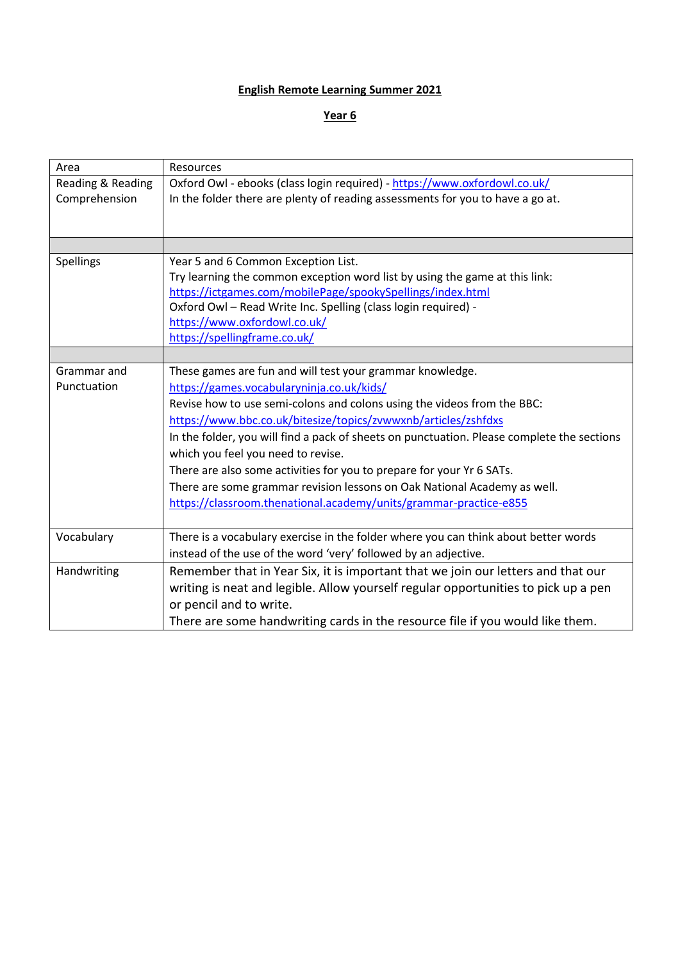## **English Remote Learning Summer 2021**

## **Year 6**

| Area              | Resources                                                                                  |
|-------------------|--------------------------------------------------------------------------------------------|
| Reading & Reading | Oxford Owl - ebooks (class login required) - https://www.oxfordowl.co.uk/                  |
| Comprehension     | In the folder there are plenty of reading assessments for you to have a go at.             |
|                   |                                                                                            |
|                   |                                                                                            |
|                   |                                                                                            |
| Spellings         | Year 5 and 6 Common Exception List.                                                        |
|                   | Try learning the common exception word list by using the game at this link:                |
|                   | https://ictgames.com/mobilePage/spookySpellings/index.html                                 |
|                   | Oxford Owl - Read Write Inc. Spelling (class login required) -                             |
|                   | https://www.oxfordowl.co.uk/                                                               |
|                   | https://spellingframe.co.uk/                                                               |
|                   |                                                                                            |
| Grammar and       | These games are fun and will test your grammar knowledge.                                  |
| Punctuation       | https://games.vocabularyninja.co.uk/kids/                                                  |
|                   | Revise how to use semi-colons and colons using the videos from the BBC:                    |
|                   | https://www.bbc.co.uk/bitesize/topics/zvwwxnb/articles/zshfdxs                             |
|                   | In the folder, you will find a pack of sheets on punctuation. Please complete the sections |
|                   | which you feel you need to revise.                                                         |
|                   | There are also some activities for you to prepare for your Yr 6 SATs.                      |
|                   | There are some grammar revision lessons on Oak National Academy as well.                   |
|                   | https://classroom.thenational.academy/units/grammar-practice-e855                          |
|                   |                                                                                            |
| Vocabulary        | There is a vocabulary exercise in the folder where you can think about better words        |
|                   | instead of the use of the word 'very' followed by an adjective.                            |
| Handwriting       | Remember that in Year Six, it is important that we join our letters and that our           |
|                   | writing is neat and legible. Allow yourself regular opportunities to pick up a pen         |
|                   | or pencil and to write.                                                                    |
|                   |                                                                                            |
|                   | There are some handwriting cards in the resource file if you would like them.              |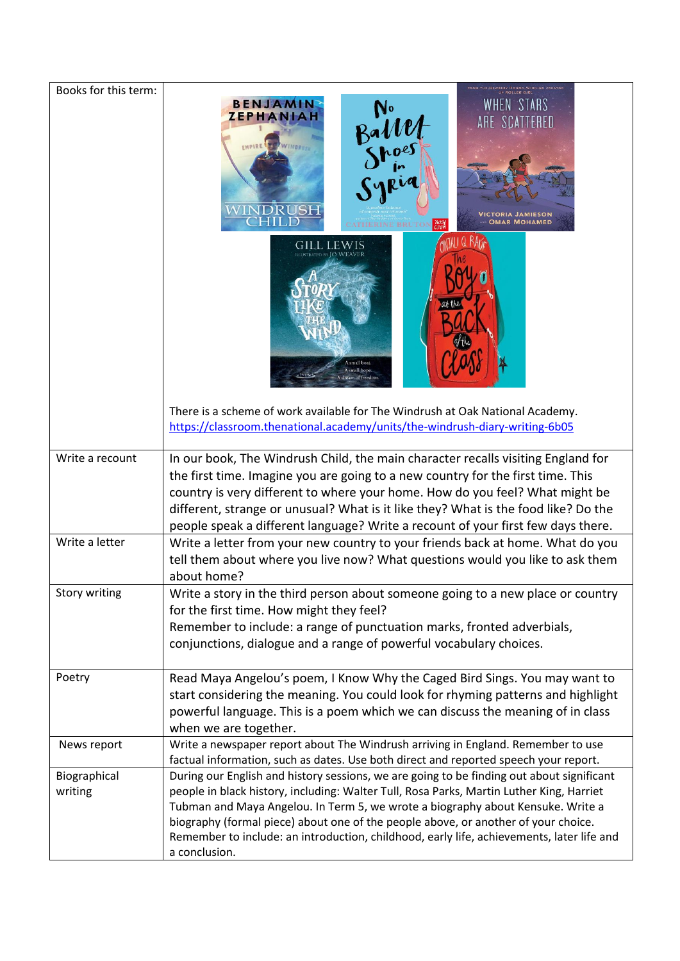| Books for this term:              |                                                                                                                                                                                                                                                                                                                                                                                                                                                                                                                                                                                                  |
|-----------------------------------|--------------------------------------------------------------------------------------------------------------------------------------------------------------------------------------------------------------------------------------------------------------------------------------------------------------------------------------------------------------------------------------------------------------------------------------------------------------------------------------------------------------------------------------------------------------------------------------------------|
|                                   | WHEN STARS<br><b>BENJAMIN</b><br>No<br>Ballet<br>Shoes<br>Syria<br>ZEPHANIAH<br>WINDEN:<br>WINDRUSH<br><b>OMAR MOHAMED</b><br>nosy<br>RINE BRUTON                                                                                                                                                                                                                                                                                                                                                                                                                                                |
|                                   | EW IS<br><b>ATED BY JO WEAVER</b><br>A small boat<br>small hope.<br>dream of freedom<br>There is a scheme of work available for The Windrush at Oak National Academy.<br>https://classroom.thenational.academy/units/the-windrush-diary-writing-6b05                                                                                                                                                                                                                                                                                                                                             |
|                                   |                                                                                                                                                                                                                                                                                                                                                                                                                                                                                                                                                                                                  |
| Write a recount<br>Write a letter | In our book, The Windrush Child, the main character recalls visiting England for<br>the first time. Imagine you are going to a new country for the first time. This<br>country is very different to where your home. How do you feel? What might be<br>different, strange or unusual? What is it like they? What is the food like? Do the<br>people speak a different language? Write a recount of your first few days there.<br>Write a letter from your new country to your friends back at home. What do you<br>tell them about where you live now? What questions would you like to ask them |
|                                   | about home?                                                                                                                                                                                                                                                                                                                                                                                                                                                                                                                                                                                      |
| <b>Story writing</b>              | Write a story in the third person about someone going to a new place or country<br>for the first time. How might they feel?<br>Remember to include: a range of punctuation marks, fronted adverbials,<br>conjunctions, dialogue and a range of powerful vocabulary choices.                                                                                                                                                                                                                                                                                                                      |
| Poetry                            | Read Maya Angelou's poem, I Know Why the Caged Bird Sings. You may want to<br>start considering the meaning. You could look for rhyming patterns and highlight<br>powerful language. This is a poem which we can discuss the meaning of in class<br>when we are together.                                                                                                                                                                                                                                                                                                                        |
| News report                       | Write a newspaper report about The Windrush arriving in England. Remember to use                                                                                                                                                                                                                                                                                                                                                                                                                                                                                                                 |
| Biographical<br>writing           | factual information, such as dates. Use both direct and reported speech your report.<br>During our English and history sessions, we are going to be finding out about significant<br>people in black history, including: Walter Tull, Rosa Parks, Martin Luther King, Harriet<br>Tubman and Maya Angelou. In Term 5, we wrote a biography about Kensuke. Write a<br>biography (formal piece) about one of the people above, or another of your choice.<br>Remember to include: an introduction, childhood, early life, achievements, later life and<br>a conclusion.                             |